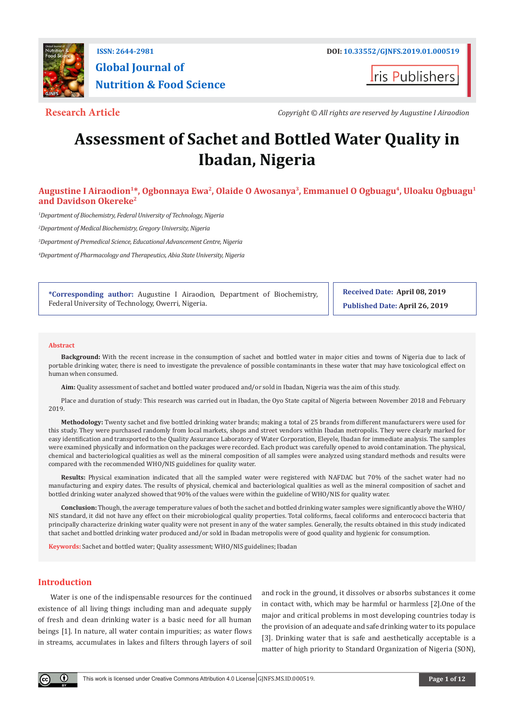

# **Global Journal of Nutrition & Food Science**

**ris Publishers** 

**Research Article** *Copyright © All rights are reserved by Augustine I Airaodion*

## **Assessment of Sachet and Bottled Water Quality in Ibadan, Nigeria**

### Augustine I Airaodion<sup>1\*</sup>, Ogbonnaya Ewa<sup>2</sup>, Olaide O Awosanya<sup>3</sup>, Emmanuel O Ogbuagu<sup>4</sup>, Uloaku Ogbuagu<sup>1</sup> **and Davidson Okereke2**

*1 Department of Biochemistry, Federal University of Technology, Nigeria*

*2 Department of Medical Biochemistry, Gregory University, Nigeria*

*3 Department of Premedical Science, Educational Advancement Centre, Nigeria*

*4 Department of Pharmacology and Therapeutics, Abia State University, Nigeria*

**\*Corresponding author:** Augustine I Airaodion, Department of Biochemistry, Federal University of Technology, Owerri, Nigeria.

**Received Date: April 08, 2019 Published Date: April 26, 2019**

#### **Abstract**

**Background:** With the recent increase in the consumption of sachet and bottled water in major cities and towns of Nigeria due to lack of portable drinking water, there is need to investigate the prevalence of possible contaminants in these water that may have toxicological effect on human when consumed.

**Aim:** Quality assessment of sachet and bottled water produced and/or sold in Ibadan, Nigeria was the aim of this study.

Place and duration of study: This research was carried out in Ibadan, the Oyo State capital of Nigeria between November 2018 and February 2019.

**Methodology:** Twenty sachet and five bottled drinking water brands; making a total of 25 brands from different manufacturers were used for this study. They were purchased randomly from local markets, shops and street vendors within Ibadan metropolis. They were clearly marked for easy identification and transported to the Quality Assurance Laboratory of Water Corporation, Eleyele, Ibadan for immediate analysis. The samples were examined physically and information on the packages were recorded. Each product was carefully opened to avoid contamination. The physical, chemical and bacteriological qualities as well as the mineral composition of all samples were analyzed using standard methods and results were compared with the recommended WHO/NIS guidelines for quality water.

**Results:** Physical examination indicated that all the sampled water were registered with NAFDAC but 70% of the sachet water had no manufacturing and expiry dates. The results of physical, chemical and bacteriological qualities as well as the mineral composition of sachet and bottled drinking water analyzed showed that 90% of the values were within the guideline of WHO/NIS for quality water.

**Conclusion:** Though, the average temperature values of both the sachet and bottled drinking water samples were significantly above the WHO/ NIS standard, it did not have any effect on their microbiological quality properties. Total coliforms, faecal coliforms and enterococci bacteria that principally characterize drinking water quality were not present in any of the water samples. Generally, the results obtained in this study indicated that sachet and bottled drinking water produced and/or sold in Ibadan metropolis were of good quality and hygienic for consumption.

**Keywords:** Sachet and bottled water; Quality assessment; WHO/NIS guidelines; Ibadan

#### **Introduction**

Water is one of the indispensable resources for the continued existence of all living things including man and adequate supply of fresh and clean drinking water is a basic need for all human beings [1]. In nature, all water contain impurities; as water flows in streams, accumulates in lakes and filters through layers of soil and rock in the ground, it dissolves or absorbs substances it come in contact with, which may be harmful or harmless [2].One of the major and critical problems in most developing countries today is the provision of an adequate and safe drinking water to its populace [3]. Drinking water that is safe and aesthetically acceptable is a matter of high priority to Standard Organization of Nigeria (SON),

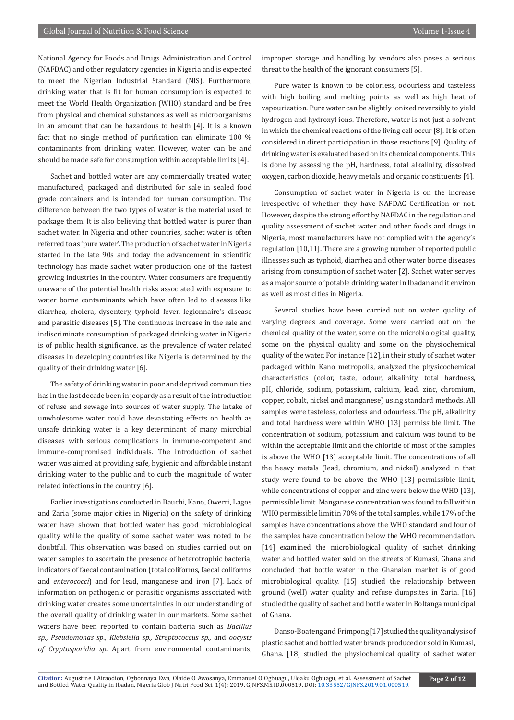National Agency for Foods and Drugs Administration and Control (NAFDAC) and other regulatory agencies in Nigeria and is expected to meet the Nigerian Industrial Standard (NIS). Furthermore, drinking water that is fit for human consumption is expected to meet the World Health Organization (WHO) standard and be free from physical and chemical substances as well as microorganisms in an amount that can be hazardous to health [4]. It is a known fact that no single method of purification can eliminate 100 % contaminants from drinking water. However, water can be and should be made safe for consumption within acceptable limits [4].

Sachet and bottled water are any commercially treated water, manufactured, packaged and distributed for sale in sealed food grade containers and is intended for human consumption. The difference between the two types of water is the material used to package them. It is also believing that bottled water is purer than sachet water. In Nigeria and other countries, sachet water is often referred to as 'pure water'. The production of sachet water in Nigeria started in the late 90s and today the advancement in scientific technology has made sachet water production one of the fastest growing industries in the country. Water consumers are frequently unaware of the potential health risks associated with exposure to water borne contaminants which have often led to diseases like diarrhea, cholera, dysentery, typhoid fever, legionnaire's disease and parasitic diseases [5]. The continuous increase in the sale and indiscriminate consumption of packaged drinking water in Nigeria is of public health significance, as the prevalence of water related diseases in developing countries like Nigeria is determined by the quality of their drinking water [6].

The safety of drinking water in poor and deprived communities has in the last decade been in jeopardy as a result of the introduction of refuse and sewage into sources of water supply. The intake of unwholesome water could have devastating effects on health as unsafe drinking water is a key determinant of many microbial diseases with serious complications in immune-competent and immune-compromised individuals. The introduction of sachet water was aimed at providing safe, hygienic and affordable instant drinking water to the public and to curb the magnitude of water related infections in the country [6].

Earlier investigations conducted in Bauchi, Kano, Owerri, Lagos and Zaria (some major cities in Nigeria) on the safety of drinking water have shown that bottled water has good microbiological quality while the quality of some sachet water was noted to be doubtful. This observation was based on studies carried out on water samples to ascertain the presence of heterotrophic bacteria, indicators of faecal contamination (total coliforms, faecal coliforms and *enterococci*) and for lead, manganese and iron [7]. Lack of information on pathogenic or parasitic organisms associated with drinking water creates some uncertainties in our understanding of the overall quality of drinking water in our markets. Some sachet waters have been reported to contain bacteria such as *Bacillus sp., Pseudomonas sp., Klebsiella sp., Streptococcus sp.,* and *oocysts of Cryptosporidia sp*. Apart from environmental contaminants,

improper storage and handling by vendors also poses a serious threat to the health of the ignorant consumers [5].

Pure water is known to be colorless, odourless and tasteless with high boiling and melting points as well as high heat of vapourization. Pure water can be slightly ionized reversibly to yield hydrogen and hydroxyl ions. Therefore, water is not just a solvent in which the chemical reactions of the living cell occur [8]. It is often considered in direct participation in those reactions [9]. Quality of drinking water is evaluated based on its chemical components. This is done by assessing the pH, hardness, total alkalinity, dissolved oxygen, carbon dioxide, heavy metals and organic constituents [4].

Consumption of sachet water in Nigeria is on the increase irrespective of whether they have NAFDAC Certification or not. However, despite the strong effort by NAFDAC in the regulation and quality assessment of sachet water and other foods and drugs in Nigeria, most manufacturers have not complied with the agency's regulation [10,11]. There are a growing number of reported public illnesses such as typhoid, diarrhea and other water borne diseases arising from consumption of sachet water [2]. Sachet water serves as a major source of potable drinking water in Ibadan and it environ as well as most cities in Nigeria.

Several studies have been carried out on water quality of varying degrees and coverage. Some were carried out on the chemical quality of the water, some on the microbiological quality, some on the physical quality and some on the physiochemical quality of the water. For instance [12], in their study of sachet water packaged within Kano metropolis, analyzed the physicochemical characteristics (color, taste, odour, alkalinity, total hardness, pH, chloride, sodium, potassium, calcium, lead, zinc, chromium, copper, cobalt, nickel and manganese) using standard methods. All samples were tasteless, colorless and odourless. The pH, alkalinity and total hardness were within WHO [13] permissible limit. The concentration of sodium, potassium and calcium was found to be within the acceptable limit and the chloride of most of the samples is above the WHO [13] acceptable limit. The concentrations of all the heavy metals (lead, chromium, and nickel) analyzed in that study were found to be above the WHO [13] permissible limit, while concentrations of copper and zinc were below the WHO [13], permissible limit. Manganese concentration was found to fall within WHO permissible limit in 70% of the total samples, while 17% of the samples have concentrations above the WHO standard and four of the samples have concentration below the WHO recommendation. [14] examined the microbiological quality of sachet drinking water and bottled water sold on the streets of Kumasi, Ghana and concluded that bottle water in the Ghanaian market is of good microbiological quality. [15] studied the relationship between ground (well) water quality and refuse dumpsites in Zaria. [16] studied the quality of sachet and bottle water in Boltanga municipal of Ghana.

Danso-Boateng and Frimpong [17] studied the quality analysis of plastic sachet and bottled water brands produced or sold in Kumasi, Ghana. [18] studied the physiochemical quality of sachet water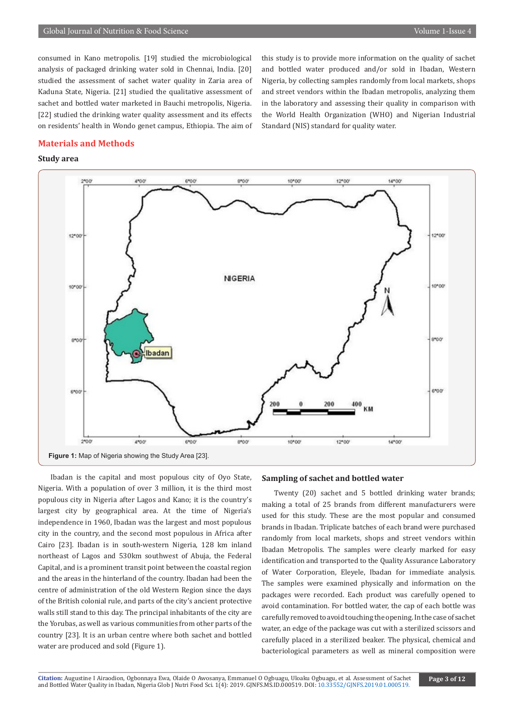consumed in Kano metropolis. [19] studied the microbiological analysis of packaged drinking water sold in Chennai, India. [20] studied the assessment of sachet water quality in Zaria area of Kaduna State, Nigeria. [21] studied the qualitative assessment of sachet and bottled water marketed in Bauchi metropolis, Nigeria. [22] studied the drinking water quality assessment and its effects on residents' health in Wondo genet campus, Ethiopia. The aim of this study is to provide more information on the quality of sachet and bottled water produced and/or sold in Ibadan, Western Nigeria, by collecting samples randomly from local markets, shops and street vendors within the Ibadan metropolis, analyzing them in the laboratory and assessing their quality in comparison with the World Health Organization (WHO) and Nigerian Industrial Standard (NIS) standard for quality water.

#### **Materials and Methods**

#### **Study area**



Ibadan is the capital and most populous city of Oyo State, Nigeria. With a population of over 3 million, it is the third most populous city in Nigeria after Lagos and Kano; it is the country's largest city by geographical area. At the time of Nigeria's independence in 1960, Ibadan was the largest and most populous city in the country, and the second most populous in Africa after Cairo [23]. Ibadan is in south-western Nigeria, 128 km inland northeast of Lagos and 530km southwest of Abuja, the Federal Capital, and is a prominent transit point between the coastal region and the areas in the hinterland of the country. Ibadan had been the centre of administration of the old Western Region since the days of the British colonial rule, and parts of the city's ancient protective walls still stand to this day. The principal inhabitants of the city are the Yorubas, as well as various communities from other parts of the country [23]. It is an urban centre where both sachet and bottled water are produced and sold (Figure 1).

#### **Sampling of sachet and bottled water**

Twenty (20) sachet and 5 bottled drinking water brands; making a total of 25 brands from different manufacturers were used for this study. These are the most popular and consumed brands in Ibadan. Triplicate batches of each brand were purchased randomly from local markets, shops and street vendors within Ibadan Metropolis. The samples were clearly marked for easy identification and transported to the Quality Assurance Laboratory of Water Corporation, Eleyele, Ibadan for immediate analysis. The samples were examined physically and information on the packages were recorded. Each product was carefully opened to avoid contamination. For bottled water, the cap of each bottle was carefully removed to avoid touching the opening. In the case of sachet water, an edge of the package was cut with a sterilized scissors and carefully placed in a sterilized beaker. The physical, chemical and bacteriological parameters as well as mineral composition were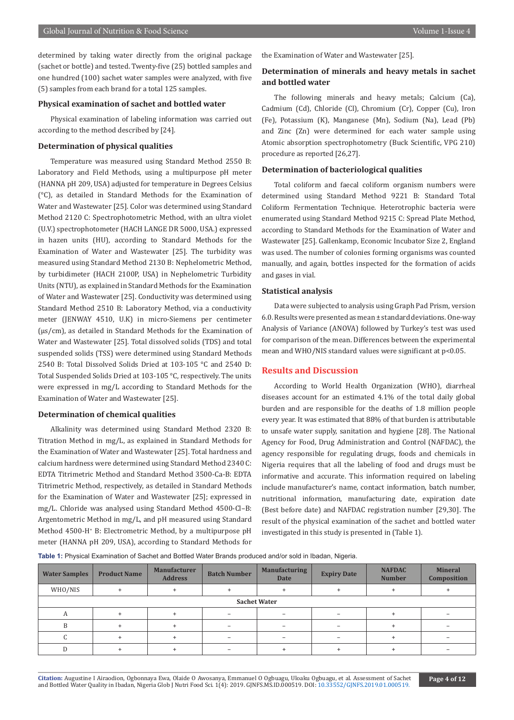determined by taking water directly from the original package (sachet or bottle) and tested. Twenty-five (25) bottled samples and one hundred (100) sachet water samples were analyzed, with five (5) samples from each brand for a total 125 samples.

#### **Physical examination of sachet and bottled water**

Physical examination of labeling information was carried out according to the method described by [24].

#### **Determination of physical qualities**

Temperature was measured using Standard Method 2550 B: Laboratory and Field Methods, using a multipurpose pH meter (HANNA pH 209, USA) adjusted for temperature in Degrees Celsius (°C), as detailed in Standard Methods for the Examination of Water and Wastewater [25]. Color was determined using Standard Method 2120 C: Spectrophotometric Method, with an ultra violet (U.V.) spectrophotometer (HACH LANGE DR 5000, USA.) expressed in hazen units (HU), according to Standard Methods for the Examination of Water and Wastewater [25]. The turbidity was measured using Standard Method 2130 B: Nephelometric Method, by turbidimeter (HACH 2100P, USA) in Nephelometric Turbidity Units (NTU), as explained in Standard Methods for the Examination of Water and Wastewater [25]. Conductivity was determined using Standard Method 2510 B: Laboratory Method, via a conductivity meter (JENWAY 4510, U.K) in micro-Siemens per centimeter (µs/cm), as detailed in Standard Methods for the Examination of Water and Wastewater [25]. Total dissolved solids (TDS) and total suspended solids (TSS) were determined using Standard Methods 2540 B: Total Dissolved Solids Dried at 103-105 °C and 2540 D: Total Suspended Solids Dried at 103-105 °C, respectively. The units were expressed in mg/L according to Standard Methods for the Examination of Water and Wastewater [25].

#### **Determination of chemical qualities**

Alkalinity was determined using Standard Method 2320 B: Titration Method in mg/L, as explained in Standard Methods for the Examination of Water and Wastewater [25]. Total hardness and calcium hardness were determined using Standard Method 2340 C: EDTA Titrimetric Method and Standard Method 3500-Ca-B: EDTA Titrimetric Method, respectively, as detailed in Standard Methods for the Examination of Water and Wastewater [25]; expressed in mg/L. Chloride was analysed using Standard Method 4500-Cl–B: Argentometric Method in mg/L, and pH measured using Standard Method 4500-H+ B: Electrometric Method, by a multipurpose pH meter (HANNA pH 209, USA), according to Standard Methods for

the Examination of Water and Wastewater [25].

#### **Determination of minerals and heavy metals in sachet and bottled water**

The following minerals and heavy metals; Calcium (Ca), Cadmium (Cd), Chloride (Cl), Chromium (Cr), Copper (Cu), Iron (Fe), Potassium (K), Manganese (Mn), Sodium (Na), Lead (Pb) and Zinc (Zn) were determined for each water sample using Atomic absorption spectrophotometry (Buck Scientific, VPG 210) procedure as reported [26,27].

#### **Determination of bacteriological qualities**

Total coliform and faecal coliform organism numbers were determined using Standard Method 9221 B: Standard Total Coliform Fermentation Technique. Heterotrophic bacteria were enumerated using Standard Method 9215 C: Spread Plate Method, according to Standard Methods for the Examination of Water and Wastewater [25]. Gallenkamp, Economic Incubator Size 2, England was used. The number of colonies forming organisms was counted manually, and again, bottles inspected for the formation of acids and gases in vial.

#### **Statistical analysis**

Data were subjected to analysis using Graph Pad Prism, version 6.0. Results were presented as mean ± standard deviations. One-way Analysis of Variance (ANOVA) followed by Turkey's test was used for comparison of the mean. Differences between the experimental mean and WHO/NIS standard values were significant at p<0.05.

#### **Results and Discussion**

According to World Health Organization (WHO), diarrheal diseases account for an estimated 4.1% of the total daily global burden and are responsible for the deaths of 1.8 million people every year. It was estimated that 88% of that burden is attributable to unsafe water supply, sanitation and hygiene [28]. The National Agency for Food, Drug Administration and Control (NAFDAC), the agency responsible for regulating drugs, foods and chemicals in Nigeria requires that all the labeling of food and drugs must be informative and accurate. This information required on labeling include manufacturer's name, contact information, batch number, nutritional information, manufacturing date, expiration date (Best before date) and NAFDAC registration number [29,30]. The result of the physical examination of the sachet and bottled water investigated in this study is presented in (Table 1).

**Table 1:** Physical Examination of Sachet and Bottled Water Brands produced and/or sold in Ibadan, Nigeria.

| <b>Water Samples</b> | <b>Product Name</b> | <b>Manufacturer</b><br><b>Address</b> | <b>Batch Number</b> | <b>Manufacturing</b><br><b>Expiry Date</b><br><b>Date</b> |                          | <b>NAFDAC</b><br><b>Number</b> | <b>Mineral</b><br>Composition |  |  |
|----------------------|---------------------|---------------------------------------|---------------------|-----------------------------------------------------------|--------------------------|--------------------------------|-------------------------------|--|--|
| WHO/NIS              |                     |                                       |                     |                                                           |                          |                                |                               |  |  |
| <b>Sachet Water</b>  |                     |                                       |                     |                                                           |                          |                                |                               |  |  |
| А                    |                     |                                       |                     |                                                           | $\overline{\phantom{0}}$ |                                |                               |  |  |
| R                    |                     |                                       |                     |                                                           | -                        |                                |                               |  |  |
|                      |                     |                                       |                     |                                                           | $\overline{\phantom{0}}$ |                                |                               |  |  |
|                      |                     |                                       |                     |                                                           |                          |                                |                               |  |  |

**Citation:** Augustine I Airaodion, Ogbonnaya Ewa, Olaide O Awosanya, Emmanuel O Ogbuagu, Uloaku O[gbuagu, et al. Assessment of Sachet](http://dx.doi.org/10.33552/GJNFS.2019.01.000519
) Citation: Augustine I Airaodion, Ogbonnaya Ewa, Olaide O Awosanya, Emmanuel O Ogbuagu, Uloaku Ogbuagu, et al. Assessment of Sachet<br>and Bottled Water Quality in Ibadan, Nigeria Glob J Nutri Food Sci. 1(4): 2019. GJNFS.MS.ID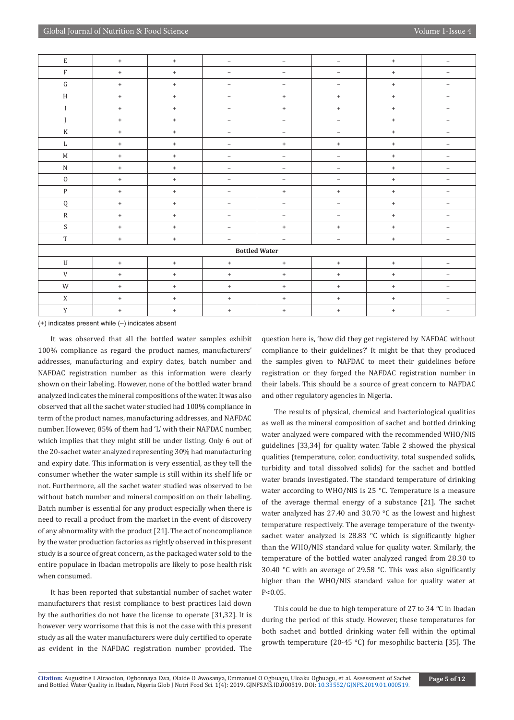| $\mathbf E$          | $+$                              | $+$ | $\overline{\phantom{m}}$         | $\overline{\phantom{a}}$ | $\overline{\phantom{a}}$ | $+$    | $\overline{\phantom{m}}$ |  |  |
|----------------------|----------------------------------|-----|----------------------------------|--------------------------|--------------------------|--------|--------------------------|--|--|
| $\rm F$              | $+$                              | $+$ | $\overline{\phantom{m}}$         | $\overline{\phantom{a}}$ | $\overline{\phantom{a}}$ | $+$    | $\overline{\phantom{m}}$ |  |  |
| ${\rm G}$            | $\ddot{}$                        | $+$ | $\overline{\phantom{a}}$         | $\overline{\phantom{a}}$ | $\overline{\phantom{m}}$ | $+$    | $\overline{\phantom{a}}$ |  |  |
| H                    | $+$                              | $+$ | $\overline{\phantom{m}}$         | $+$                      | $+$                      | $+$    | $\overline{\phantom{m}}$ |  |  |
| $\mathbf I$          | $+$                              | $+$ | $\overline{\phantom{a}}$         | $+$                      | $+$                      | $^{+}$ | $\overline{\phantom{a}}$ |  |  |
|                      | $+$                              | $+$ | $\overline{\phantom{m}}$         | $\overline{\phantom{a}}$ | $\overline{\phantom{m}}$ | $+$    | $\overline{\phantom{m}}$ |  |  |
| $\rm K$              | $\begin{array}{c} + \end{array}$ | $+$ | $\overline{\phantom{a}}$         | $\overline{\phantom{a}}$ | $\overline{\phantom{a}}$ | $^{+}$ | $\overline{\phantom{a}}$ |  |  |
| L                    | $+$                              | $+$ | $\overline{\phantom{m}}$         | $\ddot{}$                | $\ddot{}$                | $+$    | $\overline{\phantom{m}}$ |  |  |
| M                    | $+$                              | $+$ | $\overline{\phantom{m}}$         | $\overline{\phantom{a}}$ | $\overline{\phantom{m}}$ | $+$    | $\overline{\phantom{m}}$ |  |  |
| ${\bf N}$            | $+$                              | $+$ | $\overline{\phantom{m}}$         | $\overline{\phantom{a}}$ | $\overline{\phantom{a}}$ | $+$    | $\overline{\phantom{m}}$ |  |  |
| $\mathbf 0$          | $\ddot{}$                        | $+$ | $\overline{\phantom{m}}$         | $\overline{\phantom{a}}$ | $\overline{\phantom{a}}$ | $+$    | $\overline{\phantom{a}}$ |  |  |
| $\, {\bf p}$         | $+$                              | $+$ | $\overline{\phantom{m}}$         | $+$                      | $+$                      | $+$    | $\overline{\phantom{m}}$ |  |  |
| ${\bf Q}$            | $+$                              | $+$ | $\overline{\phantom{m}}$         | $\overline{\phantom{a}}$ | $\overline{\phantom{a}}$ | $+$    | $\overline{\phantom{a}}$ |  |  |
| $\mathbb{R}$         | $+$                              | $+$ | $\overline{\phantom{m}}$         | $\overline{\phantom{a}}$ | $\overline{\phantom{a}}$ | $+$    | $\overline{\phantom{m}}$ |  |  |
| S                    | $+$                              | $+$ | $\overline{\phantom{a}}$         | $+$                      | $^{+}$                   | $+$    | $\overline{\phantom{a}}$ |  |  |
| $\mathbf T$          | $\ddot{}$                        | $+$ | $\overline{\phantom{a}}$         | $\overline{\phantom{a}}$ | $\overline{\phantom{a}}$ | $+$    | $\overline{\phantom{m}}$ |  |  |
| <b>Bottled Water</b> |                                  |     |                                  |                          |                          |        |                          |  |  |
| $\mathbf U$          | $+$                              | $+$ | $\begin{array}{c} + \end{array}$ | $+$                      | $+$                      | $+$    | $\overline{\phantom{a}}$ |  |  |
| V                    | $+$                              | $+$ | $\ddot{}$                        | $+$                      | $\ddot{}$                | $+$    | $\overline{\phantom{m}}$ |  |  |
| W                    | $+$                              | $+$ | $\ddot{}$                        | $+$                      | $+$                      | $+$    | $\overline{\phantom{a}}$ |  |  |
| X                    | $+$                              | $+$ | $\ddot{}$                        | $+$                      | $+$                      | $+$    | $\overline{\phantom{m}}$ |  |  |
| $\mathbf Y$          | $\begin{array}{c} + \end{array}$ | $+$ | $\begin{array}{c} + \end{array}$ | $\,$ + $\,$              | $^{+}$                   | $+$    | $\overline{\phantom{a}}$ |  |  |

(+) indicates present while (–) indicates absent

It was observed that all the bottled water samples exhibit 100% compliance as regard the product names, manufacturers' addresses, manufacturing and expiry dates, batch number and NAFDAC registration number as this information were clearly shown on their labeling. However, none of the bottled water brand analyzed indicates the mineral compositions of the water. It was also observed that all the sachet water studied had 100% compliance in term of the product names, manufacturing addresses, and NAFDAC number. However, 85% of them had 'L' with their NAFDAC number, which implies that they might still be under listing. Only 6 out of the 20-sachet water analyzed representing 30% had manufacturing and expiry date. This information is very essential, as they tell the consumer whether the water sample is still within its shelf life or not. Furthermore, all the sachet water studied was observed to be without batch number and mineral composition on their labeling. Batch number is essential for any product especially when there is need to recall a product from the market in the event of discovery of any abnormality with the product [21]. The act of noncompliance by the water production factories as rightly observed in this present study is a source of great concern, as the packaged water sold to the entire populace in Ibadan metropolis are likely to pose health risk when consumed.

It has been reported that substantial number of sachet water manufacturers that resist compliance to best practices laid down by the authorities do not have the license to operate [31,32]. It is however very worrisome that this is not the case with this present study as all the water manufacturers were duly certified to operate as evident in the NAFDAC registration number provided. The

question here is, 'how did they get registered by NAFDAC without compliance to their guidelines?' It might be that they produced the samples given to NAFDAC to meet their guidelines before registration or they forged the NAFDAC registration number in their labels. This should be a source of great concern to NAFDAC and other regulatory agencies in Nigeria.

The results of physical, chemical and bacteriological qualities as well as the mineral composition of sachet and bottled drinking water analyzed were compared with the recommended WHO/NIS guidelines [33,34] for quality water. Table 2 showed the physical qualities (temperature, color, conductivity, total suspended solids, turbidity and total dissolved solids) for the sachet and bottled water brands investigated. The standard temperature of drinking water according to WHO/NIS is 25 °C. Temperature is a measure of the average thermal energy of a substance [21]. The sachet water analyzed has 27.40 and 30.70 °C as the lowest and highest temperature respectively. The average temperature of the twentysachet water analyzed is 28.83 °C which is significantly higher than the WHO/NIS standard value for quality water. Similarly, the temperature of the bottled water analyzed ranged from 28.30 to 30.40 °C with an average of 29.58 °C. This was also significantly higher than the WHO/NIS standard value for quality water at P<0.05.

This could be due to high temperature of 27 to 34 °C in Ibadan during the period of this study. However, these temperatures for both sachet and bottled drinking water fell within the optimal growth temperature (20-45 °C) for mesophilic bacteria [35]. The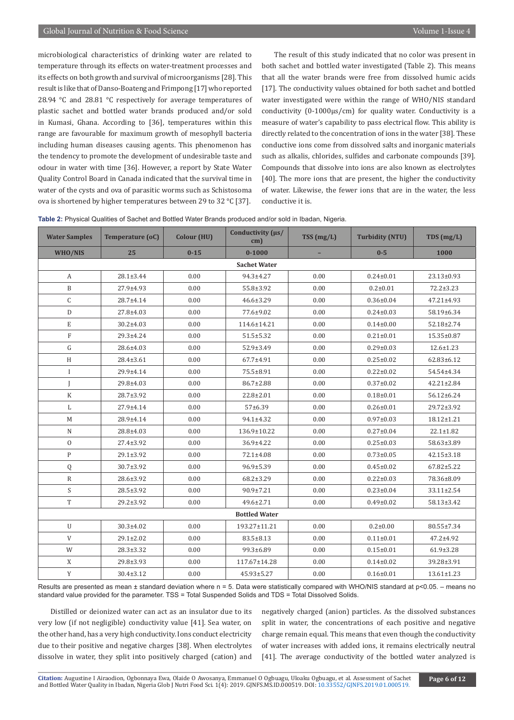microbiological characteristics of drinking water are related to temperature through its effects on water-treatment processes and its effects on both growth and survival of microorganisms [28]. This result is like that of Danso-Boateng and Frimpong [17] who reported 28.94 °C and 28.81 °C respectively for average temperatures of plastic sachet and bottled water brands produced and/or sold in Kumasi, Ghana. According to [36], temperatures within this range are favourable for maximum growth of mesophyll bacteria including human diseases causing agents. This phenomenon has the tendency to promote the development of undesirable taste and odour in water with time [36]. However, a report by State Water Quality Control Board in Canada indicated that the survival time in water of the cysts and ova of parasitic worms such as Schistosoma ova is shortened by higher temperatures between 29 to 32 °C [37].

The result of this study indicated that no color was present in both sachet and bottled water investigated (Table 2). This means that all the water brands were free from dissolved humic acids [17]. The conductivity values obtained for both sachet and bottled water investigated were within the range of WHO/NIS standard conductivity (0-1000µs/cm) for quality water. Conductivity is a measure of water's capability to pass electrical flow. This ability is directly related to the concentration of ions in the water [38]. These conductive ions come from dissolved salts and inorganic materials such as alkalis, chlorides, sulfides and carbonate compounds [39]. Compounds that dissolve into ions are also known as electrolytes [40]. The more ions that are present, the higher the conductivity of water. Likewise, the fewer ions that are in the water, the less conductive it is.

|  |  |  | Table 2: Physical Qualities of Sachet and Bottled Water Brands produced and/or sold in Ibadan, Nigeria. |
|--|--|--|---------------------------------------------------------------------------------------------------------|
|--|--|--|---------------------------------------------------------------------------------------------------------|

| <b>Water Samples</b>      | <b>Temperature (oC)</b> | <b>Colour (HU)</b> | Conductivity $(\mu s)$<br>cm) | TSS(mg/L) | <b>Turbidity (NTU)</b> | TDS(mg/L)        |  |  |  |  |
|---------------------------|-------------------------|--------------------|-------------------------------|-----------|------------------------|------------------|--|--|--|--|
| WHO/NIS                   | 25                      | $0 - 15$           | $0 - 1000$                    |           | $0 - 5$                | 1000             |  |  |  |  |
|                           | <b>Sachet Water</b>     |                    |                               |           |                        |                  |  |  |  |  |
| A                         | $28.1 \pm 3.44$         | 0.00               | 94.3±4.27                     | 0.00      | $0.24 \pm 0.01$        | 23.13±0.93       |  |  |  |  |
| $\, {\bf B}$              | 27.9±4.93               | 0.00               | 55.8±3.92                     | 0.00      | $0.2 \pm 0.01$         | $72.2 \pm 3.23$  |  |  |  |  |
| $\mathsf C$               | 28.7±4.14               | 0.00               | $46.6 \pm 3.29$               | 0.00      | $0.36 \pm 0.04$        | $47.21 \pm 4.93$ |  |  |  |  |
| D                         | 27.8±4.03               | 0.00               | 77.6±9.02                     | 0.00      | $0.24 \pm 0.03$        | 58.19±6.34       |  |  |  |  |
| $\mathbf E$               | $30.2 \pm 4.03$         | 0.00               | 114.6±14.21                   | 0.00      | $0.14 \pm 0.00$        | 52.18±2.74       |  |  |  |  |
| $\rm F$                   | 29.3±4.24               | 0.00               | $51.5 \pm 5.32$               | 0.00      | $0.21 \pm 0.01$        | 15.35±0.87       |  |  |  |  |
| ${\bf G}$                 | 28.6±4.03               | 0.00               | 52.9±3.49                     | 0.00      | $0.29 \pm 0.03$        | $12.6 \pm 1.23$  |  |  |  |  |
| H                         | 28.4±3.61               | 0.00               | 67.7±4.91                     | 0.00      | $0.25 \pm 0.02$        | 62.83±6.12       |  |  |  |  |
| $\bf{I}$                  | 29.9±4.14               | 0.00               | 75.5±8.91                     | 0.00      | $0.22 \pm 0.02$        | 54.54±4.34       |  |  |  |  |
| J                         | 29.8±4.03               | 0.00               | 86.7±2.88                     | 0.00      | $0.37 \pm 0.02$        | $42.21 \pm 2.84$ |  |  |  |  |
| $\rm K$                   | 28.7±3.92               | 0.00               | 22.8±2.01                     | 0.00      | $0.18 + 0.01$          | 56.12±6.24       |  |  |  |  |
| L                         | 27.9±4.14               | 0.00               | 57±6.39                       | 0.00      | $0.26 \pm 0.01$        | 29.72±3.92       |  |  |  |  |
| M                         | 28.9±4.14               | 0.00               | 94.1±4.32                     | 0.00      | $0.97 \pm 0.03$        | 18.12±1.21       |  |  |  |  |
| $\mathbb N$               | 28.8±4.03               | 0.00               | 136.9±10.22                   | 0.00      | $0.27 \pm 0.04$        | $22.1 \pm 1.82$  |  |  |  |  |
| $\mathbf{0}$              | 27.4±3.92               | 0.00               | 36.9±4.22                     | 0.00      | $0.25 \pm 0.03$        | 58.63±3.89       |  |  |  |  |
| $\mathbf{P}$              | 29.1±3.92               | 0.00               | 72.1±4.08                     | 0.00      | $0.73 \pm 0.05$        | $42.15 \pm 3.18$ |  |  |  |  |
| Q                         | 30.7±3.92               | 0.00               | 96.9±5.39                     | 0.00      | $0.45 \pm 0.02$        | $67.82 \pm 5.22$ |  |  |  |  |
| ${\bf R}$                 | 28.6±3.92               | 0.00               | $68.2 \pm 3.29$               | 0.00      | $0.22 \pm 0.03$        | 78.36±8.09       |  |  |  |  |
| $\boldsymbol{\mathsf{S}}$ | 28.5±3.92               | 0.00               | 90.9±7.21                     | 0.00      | $0.23 \pm 0.04$        | 33.11±2.54       |  |  |  |  |
| T                         | 29.2±3.92               | 0.00               | $49.6 \pm 2.71$               | 0.00      | $0.49 \pm 0.02$        | 58.13±3.42       |  |  |  |  |
| <b>Bottled Water</b>      |                         |                    |                               |           |                        |                  |  |  |  |  |
| U                         | 30.3±4.02               | 0.00               | 193.27±11.21                  | 0.00      | $0.2 \pm 0.00$         | 80.55±7.34       |  |  |  |  |
| V                         | 29.1±2.02               | 0.00               | 83.5±8.13                     | 0.00      | $0.11 \pm 0.01$        | $47.2 \pm 4.92$  |  |  |  |  |
| W                         | $28.3 \pm 3.32$         | 0.00               | 99.3±6.89                     | 0.00      | $0.15 \pm 0.01$        | $61.9 \pm 3.28$  |  |  |  |  |
| X                         | 29.8±3.93               | 0.00               | 117.67±14.28                  | 0.00      | $0.14 \pm 0.02$        | 39.28±3.91       |  |  |  |  |
| Y                         | $30.4 \pm 3.12$         | 0.00               | 45.93±5.27                    | 0.00      | $0.16 \pm 0.01$        | $13.61 \pm 1.23$ |  |  |  |  |

Results are presented as mean ± standard deviation where n = 5. Data were statistically compared with WHO/NIS standard at p<0.05. - means no standard value provided for the parameter. TSS = Total Suspended Solids and TDS = Total Dissolved Solids.

Distilled or deionized water can act as an insulator due to its very low (if not negligible) conductivity value [41]. Sea water, on the other hand, has a very high conductivity. Ions conduct electricity due to their positive and negative charges [38]. When electrolytes dissolve in water, they split into positively charged (cation) and

negatively charged (anion) particles. As the dissolved substances split in water, the concentrations of each positive and negative charge remain equal. This means that even though the conductivity of water increases with added ions, it remains electrically neutral [41]. The average conductivity of the bottled water analyzed is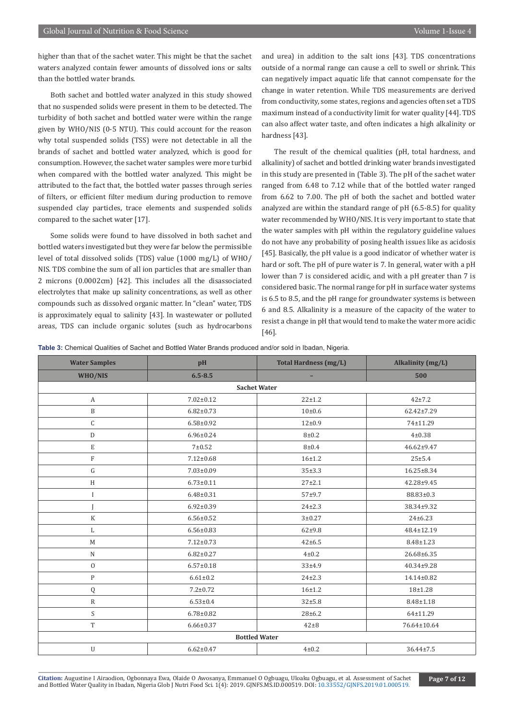higher than that of the sachet water. This might be that the sachet waters analyzed contain fewer amounts of dissolved ions or salts than the bottled water brands.

Both sachet and bottled water analyzed in this study showed that no suspended solids were present in them to be detected. The turbidity of both sachet and bottled water were within the range given by WHO/NIS (0-5 NTU). This could account for the reason why total suspended solids (TSS) were not detectable in all the brands of sachet and bottled water analyzed, which is good for consumption. However, the sachet water samples were more turbid when compared with the bottled water analyzed. This might be attributed to the fact that, the bottled water passes through series of filters, or efficient filter medium during production to remove suspended clay particles, trace elements and suspended solids compared to the sachet water [17].

Some solids were found to have dissolved in both sachet and bottled waters investigated but they were far below the permissible level of total dissolved solids (TDS) value (1000 mg/L) of WHO/ NIS. TDS combine the sum of all ion particles that are smaller than 2 microns (0.0002cm) [42]. This includes all the disassociated electrolytes that make up salinity concentrations, as well as other compounds such as dissolved organic matter. In "clean" water, TDS is approximately equal to salinity [43]. In wastewater or polluted areas, TDS can include organic solutes (such as hydrocarbons and urea) in addition to the salt ions [43]. TDS concentrations outside of a normal range can cause a cell to swell or shrink. This can negatively impact aquatic life that cannot compensate for the change in water retention. While TDS measurements are derived from conductivity, some states, regions and agencies often set a TDS maximum instead of a conductivity limit for water quality [44]. TDS can also affect water taste, and often indicates a high alkalinity or hardness [43].

The result of the chemical qualities (pH, total hardness, and alkalinity) of sachet and bottled drinking water brands investigated in this study are presented in (Table 3). The pH of the sachet water ranged from 6.48 to 7.12 while that of the bottled water ranged from 6.62 to 7.00. The pH of both the sachet and bottled water analyzed are within the standard range of pH (6.5-8.5) for quality water recommended by WHO/NIS. It is very important to state that the water samples with pH within the regulatory guideline values do not have any probability of posing health issues like as acidosis [45]. Basically, the pH value is a good indicator of whether water is hard or soft. The pH of pure water is 7. In general, water with a pH lower than 7 is considered acidic, and with a pH greater than 7 is considered basic. The normal range for pH in surface water systems is 6.5 to 8.5, and the pH range for groundwater systems is between 6 and 8.5. Alkalinity is a measure of the capacity of the water to resist a change in pH that would tend to make the water more acidic [46].

| Table 3: Chemical Qualities of Sachet and Bottled Water Brands produced and/or sold in Ibadan, Nigeria. |  |
|---------------------------------------------------------------------------------------------------------|--|
|---------------------------------------------------------------------------------------------------------|--|

| <b>Water Samples</b> | pH              | <b>Total Hardness (mg/L)</b> | Alkalinity (mg/L) |  |  |  |  |  |  |
|----------------------|-----------------|------------------------------|-------------------|--|--|--|--|--|--|
| WHO/NIS              | $6.5 - 8.5$     |                              | 500               |  |  |  |  |  |  |
| <b>Sachet Water</b>  |                 |                              |                   |  |  |  |  |  |  |
| $\mathbf{A}$         | $7.02 \pm 0.12$ | $22 \pm 1.2$                 | $42+7.2$          |  |  |  |  |  |  |
| $\, {\bf B}$         | $6.82 \pm 0.73$ | 10±0.6                       | $62.42 \pm 7.29$  |  |  |  |  |  |  |
| $\mathsf C$          | $6.58 \pm 0.92$ | $12 \pm 0.9$                 | 74±11.29          |  |  |  |  |  |  |
| $\mathbf D$          | $6.96 \pm 0.24$ | $8 + 0.2$                    | $4 + 0.38$        |  |  |  |  |  |  |
| $\mathbf E$          | $7 + 0.52$      | $8\pm0.4$                    | 46.62±9.47        |  |  |  |  |  |  |
| $\overline{F}$       | $7.12 \pm 0.68$ | $16 + 1.2$                   | $25 + 5.4$        |  |  |  |  |  |  |
| ${\rm G}$            | $7.03 \pm 0.09$ | 35±3.3                       | 16.25±8.34        |  |  |  |  |  |  |
| H                    | $6.73 \pm 0.11$ | $27 + 2.1$                   | 42.28±9.45        |  |  |  |  |  |  |
| $\rm I$              | $6.48 \pm 0.31$ | $57 + 9.7$                   | 88.83±0.3         |  |  |  |  |  |  |
| J                    | $6.92 \pm 0.39$ | $24 \pm 2.3$                 | 38.34±9.32        |  |  |  |  |  |  |
| $\mathbf K$          | $6.56 \pm 0.52$ | $3 + 0.27$                   | $24 \pm 6.23$     |  |  |  |  |  |  |
| L                    | $6.56 \pm 0.83$ | $62 + 9.8$                   | 48.4±12.19        |  |  |  |  |  |  |
| M                    | $7.12 \pm 0.73$ | $42 + 6.5$                   | 8.48±1.23         |  |  |  |  |  |  |
| ${\bf N}$            | $6.82 \pm 0.27$ | $4\pm0.2$                    | 26.68±6.35        |  |  |  |  |  |  |
| $\mathbf{0}$         | $6.57 \pm 0.18$ | $33 + 4.9$                   | 40.34±9.28        |  |  |  |  |  |  |
| ${\bf P}$            | $6.61 \pm 0.2$  | $24 \pm 2.3$                 | 14.14±0.82        |  |  |  |  |  |  |
| ${\bf Q}$            | $7.2 \pm 0.72$  | $16 + 1.2$                   | 18±1.28           |  |  |  |  |  |  |
| $\, {\bf R}$         | $6.53 \pm 0.4$  | $32 + 5.8$                   | $8.48 \pm 1.18$   |  |  |  |  |  |  |
| S                    | $6.78 \pm 0.82$ | $28 + 6.2$                   | 64±11.29          |  |  |  |  |  |  |
| T                    | $6.66 \pm 0.37$ | $42\pm8$                     | 76.64±10.64       |  |  |  |  |  |  |
|                      |                 | <b>Bottled Water</b>         |                   |  |  |  |  |  |  |
| $\mathbf U$          | $6.62 \pm 0.47$ | $4\pm0.2$                    | $36.44 \pm 7.5$   |  |  |  |  |  |  |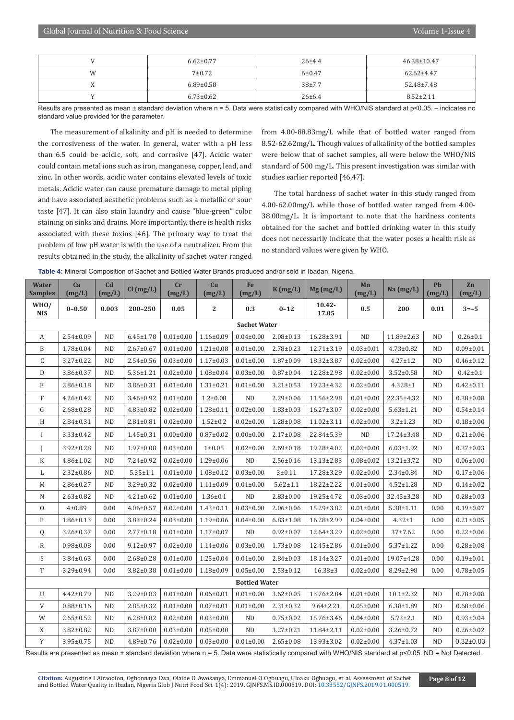|           | $6.62 \pm 0.77$ | $26 + 4.4$   | $46.38 \pm 10.47$ |
|-----------|-----------------|--------------|-------------------|
| W         | $7 + 0.72$      | 6±0.47       | $62.62 \pm 4.47$  |
| $\Lambda$ | $6.89 \pm 0.58$ | $38 + 7.7$   | $52.48 \pm 7.48$  |
|           | $6.73 \pm 0.62$ | $26 \pm 6.4$ | $8.52 \pm 2.11$   |

Results are presented as mean ± standard deviation where n = 5. Data were statistically compared with WHO/NIS standard at p<0.05. - indicates no standard value provided for the parameter.

The measurement of alkalinity and pH is needed to determine the corrosiveness of the water. In general, water with a pH less than 6.5 could be acidic, soft, and corrosive [47]. Acidic water could contain metal ions such as iron, manganese, copper, lead, and zinc. In other words, acidic water contains elevated levels of toxic metals. Acidic water can cause premature damage to metal piping and have associated aesthetic problems such as a metallic or sour taste [47]. It can also stain laundry and cause "blue-green" color staining on sinks and drains. More importantly, there is health risks associated with these toxins [46]. The primary way to treat the problem of low pH water is with the use of a neutralizer. From the results obtained in the study, the alkalinity of sachet water ranged

from 4.00-88.83mg/L while that of bottled water ranged from 8.52-62.62mg/L. Though values of alkalinity of the bottled samples were below that of sachet samples, all were below the WHO/NIS standard of 500 mg/L. This present investigation was similar with studies earlier reported [46,47].

The total hardness of sachet water in this study ranged from 4.00-62.00mg/L while those of bottled water ranged from 4.00- 38.00mg/L. It is important to note that the hardness contents obtained for the sachet and bottled drinking water in this study does not necessarily indicate that the water poses a health risk as no standard values were given by WHO.

| Table 4: Mineral Composition of Sachet and Bottled Water Brands produced and/or sold in Ibadan, Nigeria. |  |
|----------------------------------------------------------------------------------------------------------|--|
|----------------------------------------------------------------------------------------------------------|--|

| <b>Water</b><br><b>Samples</b> | Ca<br>(mg/L)    | C <sub>d</sub><br>(mg/L) | $Cl$ (mg/L)     | cr<br>(mg/L)    | Cu<br>(mg/L)     | Fe<br>(mg/L)        | K(mg/L)         | $Mg$ (mg/L)        | Mn<br>(mg/L)    | Na (mg/L)       | Pb<br>(mg/L) | Zn<br>(mg/L)    |
|--------------------------------|-----------------|--------------------------|-----------------|-----------------|------------------|---------------------|-----------------|--------------------|-----------------|-----------------|--------------|-----------------|
| WHO/<br><b>NIS</b>             | $0 - 0.50$      | 0.003                    | $200 - 250$     | 0.05            | $\boldsymbol{2}$ | 0.3                 | $0 - 12$        | $10.42 -$<br>17.05 | $0.5\,$         | 200             | $0.01\,$     | $3 - -5$        |
|                                |                 |                          |                 |                 |                  | <b>Sachet Water</b> |                 |                    |                 |                 |              |                 |
| A                              | $2.54 \pm 0.09$ | <b>ND</b>                | $6.45 \pm 1.78$ | $0.01 \pm 0.00$ | $1.16 \pm 0.09$  | $0.04 \pm 0.00$     | $2.08 \pm 0.13$ | 16.28±3.91         | ND              | 11.89±2.63      | ND.          | $0.26 \pm 0.1$  |
| B                              | $1.78 \pm 0.04$ | <b>ND</b>                | $2.67 \pm 0.67$ | $0.01 \pm 0.00$ | $1.21 \pm 0.08$  | $0.01 \pm 0.00$     | $2.78 \pm 0.23$ | 12.71±3.19         | $0.03 \pm 0.01$ | $4.73 \pm 0.82$ | <b>ND</b>    | $0.09 \pm 0.01$ |
| C                              | $3.27 \pm 0.22$ | <b>ND</b>                | $2.54 \pm 0.56$ | $0.03 \pm 0.00$ | $1.17 \pm 0.03$  | $0.01 \pm 0.00$     | $1.87 \pm 0.09$ | 18.32±3.87         | $0.02 \pm 0.00$ | $4.27 \pm 1.2$  | ND           | $0.46 \pm 0.12$ |
| D                              | 3.86±0.37       | <b>ND</b>                | $5.36 \pm 1.21$ | $0.02 \pm 0.00$ | $1.08 \pm 0.04$  | $0.03 \pm 0.00$     | $0.87 \pm 0.04$ | 12.28±2.98         | $0.02 \pm 0.00$ | $3.52 \pm 0.58$ | ND.          | $0.42 \pm 0.1$  |
| E                              | $2.86 \pm 0.18$ | <b>ND</b>                | 3.86±0.31       | $0.01 \pm 0.00$ | $1.31 \pm 0.21$  | $0.01 \pm 0.00$     | $3.21 \pm 0.53$ | 19.23±4.32         | $0.02 \pm 0.00$ | $4.328 \pm 1$   | <b>ND</b>    | $0.42 \pm 0.11$ |
| F                              | $4.26 \pm 0.42$ | <b>ND</b>                | 3.46±0.92       | $0.01 \pm 0.00$ | $1.2 \pm 0.08$   | <b>ND</b>           | $2.29 \pm 0.06$ | 11.56±2.98         | $0.01 \pm 0.00$ | 22.35±4.32      | <b>ND</b>    | $0.38 \pm 0.08$ |
| G                              | $2.68 \pm 0.28$ | <b>ND</b>                | $4.83 \pm 0.82$ | $0.02 \pm 0.00$ | $1.28 \pm 0.11$  | $0.02 \pm 0.00$     | $1.83 \pm 0.03$ | $16.27 \pm 3.07$   | $0.02 \pm 0.00$ | $5.63 \pm 1.21$ | <b>ND</b>    | $0.54 \pm 0.14$ |
| H                              | $2.84 \pm 0.31$ | ND                       | $2.81 \pm 0.81$ | $0.02 \pm 0.00$ | $1.52 \pm 0.2$   | $0.02 \pm 0.00$     | $1.28 \pm 0.08$ | $11.02 \pm 3.11$   | $0.02 \pm 0.00$ | $3.2 \pm 1.23$  | ND.          | $0.18 + 0.00$   |
| $\bf{I}$                       | $3.33 \pm 0.42$ | <b>ND</b>                | $1.45 \pm 0.31$ | $0.00 \pm 0.00$ | $0.87 \pm 0.02$  | $0.00 \pm 0.00$     | $2.17 \pm 0.08$ | 22.84±5.39         | ND              | 17.24±3.48      | ND.          | $0.21 \pm 0.06$ |
| $\mathbf{I}$                   | $3.92 \pm 0.28$ | <b>ND</b>                | $1.97 \pm 0.08$ | $0.03 \pm 0.00$ | $1 \pm 0.05$     | $0.02 \pm 0.00$     | $2.69 \pm 0.18$ | 19.28±4.02         | $0.02 \pm 0.00$ | $6.03 \pm 1.92$ | <b>ND</b>    | $0.37 \pm 0.03$ |
| $_{\rm K}$                     | $4.86 \pm 1.02$ | ND                       | 7.24±0.92       | $0.02 \pm 0.00$ | $1.29 \pm 0.06$  | ND                  | $2.56 \pm 0.16$ | $13.13 \pm 2.83$   | $0.08 + 0.02$   | 13.21±3.72      | ND           | $0.06 \pm 0.00$ |
| L                              | $2.32 \pm 0.86$ | <b>ND</b>                | $5.35 \pm 1.1$  | $0.01 \pm 0.00$ | $1.08 \pm 0.12$  | $0.03 \pm 0.00$     | 3 ± 0.11        | 17.28±3.29         | $0.02 \pm 0.00$ | $2.34 \pm 0.84$ | <b>ND</b>    | $0.17 \pm 0.06$ |
| M                              | $2.86 \pm 0.27$ | <b>ND</b>                | 3.29±0.32       | $0.02 \pm 0.00$ | $1.11 \pm 0.09$  | $0.01 \pm 0.00$     | $5.62 \pm 1.1$  | 18.22±2.22         | $0.01 \pm 0.00$ | $4.52 \pm 1.28$ | ND.          | $0.14 \pm 0.02$ |
| N                              | $2.63 \pm 0.82$ | <b>ND</b>                | $4.21 \pm 0.62$ | $0.01 \pm 0.00$ | $1.36 \pm 0.1$   | <b>ND</b>           | $2.83 \pm 0.00$ | 19.25±4.72         | $0.03 \pm 0.00$ | 32.45±3.28      | <b>ND</b>    | $0.28 \pm 0.03$ |
| $\mathbf{0}$                   | $4 + 0.89$      | 0.00                     | $4.06 \pm 0.57$ | $0.02 \pm 0.00$ | $1.43 \pm 0.11$  | $0.03 \pm 0.00$     | $2.06 \pm 0.06$ | 15.29±3.82         | $0.01 \pm 0.00$ | $5.38 \pm 1.11$ | 0.00         | $0.19 \pm 0.07$ |
| $\mathbf{P}$                   | $1.86 \pm 0.13$ | 0.00                     | $3.83 \pm 0.24$ | $0.03 \pm 0.00$ | $1.19 \pm 0.06$  | $0.04 \pm 0.00$     | $6.83 \pm 1.08$ | 16.28±2.99         | $0.04 \pm 0.00$ | $4.32 \pm 1$    | 0.00         | $0.21 \pm 0.05$ |
| Q                              | $3.26 \pm 0.37$ | 0.00                     | $2.77 \pm 0.18$ | $0.01 \pm 0.00$ | $1.17 \pm 0.07$  | <b>ND</b>           | $0.92 \pm 0.07$ | 12.64±3.29         | $0.02 \pm 0.00$ | $37 + 7.62$     | 0.00         | $0.22 \pm 0.06$ |
| $\mathbb{R}$                   | $0.98 \pm 0.08$ | 0.00                     | $9.12 \pm 0.97$ | $0.02 \pm 0.00$ | $1.14 \pm 0.06$  | $0.03 \pm 0.00$     | $1.73 \pm 0.08$ | 12.45±2.86         | $0.01 \pm 0.00$ | $5.37 \pm 1.22$ | 0.00         | $0.28 \pm 0.08$ |
| S                              | $3.84 \pm 0.63$ | 0.00                     | $2.68 \pm 0.28$ | $0.01 \pm 0.00$ | $1.25 \pm 0.04$  | $0.01 \pm 0.00$     | $2.84 \pm 0.03$ | 18.14±3.27         | $0.01 \pm 0.00$ | 19.07±4.28      | 0.00         | $0.19 \pm 0.01$ |
| T                              | 3.29±0.94       | 0.00                     | $3.82 \pm 0.38$ | $0.01 \pm 0.00$ | $1.18 \pm 0.09$  | $0.05 \pm 0.00$     | $2.53 \pm 0.12$ | $16.38 \pm 3$      | $0.02 \pm 0.00$ | $8.29 \pm 2.98$ | 0.00         | $0.78 \pm 0.05$ |
| <b>Bottled Water</b>           |                 |                          |                 |                 |                  |                     |                 |                    |                 |                 |              |                 |
| U                              | $4.42 \pm 0.79$ | ND                       | $3.29 \pm 0.83$ | $0.01 \pm 0.00$ | $0.06 \pm 0.01$  | $0.01 \pm 0.00$     | $3.62 \pm 0.05$ | 13.76±2.84         | $0.01 \pm 0.00$ | $10.1 \pm 2.32$ | <b>ND</b>    | $0.78 + 0.08$   |
| V                              | $0.88 + 0.16$   | <b>ND</b>                | $2.85 \pm 0.32$ | $0.01 \pm 0.00$ | $0.07 \pm 0.01$  | $0.01 \pm 0.00$     | $2.31 \pm 0.32$ | $9.64 \pm 2.21$    | $0.05 \pm 0.00$ | $6.38 \pm 1.89$ | <b>ND</b>    | $0.68 \pm 0.06$ |
| W                              | $2.65 \pm 0.52$ | <b>ND</b>                | $6.28 \pm 0.82$ | $0.02 \pm 0.00$ | $0.03 \pm 0.00$  | <b>ND</b>           | $0.75 \pm 0.02$ | 15.76±3.46         | $0.04 \pm 0.00$ | $5.73 \pm 2.1$  | ND           | $0.93 \pm 0.04$ |
| X                              | $3.82 \pm 0.82$ | <b>ND</b>                | $3.87 \pm 0.00$ | $0.03 \pm 0.00$ | $0.05 \pm 0.00$  | ND                  | $3.27 \pm 0.21$ | 11.84±2.11         | $0.02 \pm 0.00$ | $3.26 \pm 0.72$ | <b>ND</b>    | $0.26 \pm 0.02$ |
| Y                              | $3.95 \pm 0.75$ | ND                       | 4.89±0.76       | $0.02 \pm 0.00$ | $0.03 \pm 0.00$  | $0.01 \pm 0.00$     | $2.65 \pm 0.08$ | 13.93±3.02         | $0.02 \pm 0.00$ | $4.37 \pm 1.03$ | ND           | $0.32 \pm 0.03$ |

Results are presented as mean ± standard deviation where n = 5. Data were statistically compared with WHO/NIS standard at p<0.05. ND = Not Detected.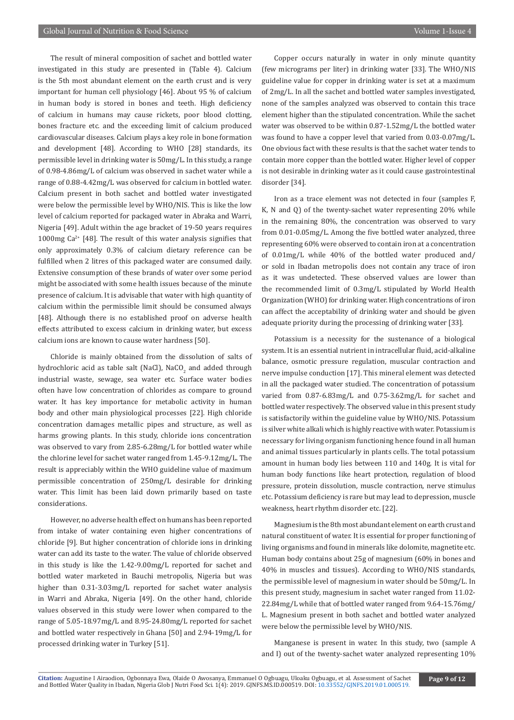The result of mineral composition of sachet and bottled water investigated in this study are presented in (Table 4). Calcium is the 5th most abundant element on the earth crust and is very important for human cell physiology [46]. About 95 % of calcium in human body is stored in bones and teeth. High deficiency of calcium in humans may cause rickets, poor blood clotting, bones fracture etc. and the exceeding limit of calcium produced cardiovascular diseases. Calcium plays a key role in bone formation and development [48]. According to WHO [28] standards, its permissible level in drinking water is 50mg/L. In this study, a range of 0.98-4.86mg/L of calcium was observed in sachet water while a range of 0.88-4.42mg/L was observed for calcium in bottled water. Calcium present in both sachet and bottled water investigated were below the permissible level by WHO/NIS. This is like the low level of calcium reported for packaged water in Abraka and Warri, Nigeria [49]. Adult within the age bracket of 19-50 years requires 1000mg  $Ca^{2+}$  [48]. The result of this water analysis signifies that only approximately 0.3% of calcium dietary reference can be fulfilled when 2 litres of this packaged water are consumed daily. Extensive consumption of these brands of water over some period might be associated with some health issues because of the minute presence of calcium. It is advisable that water with high quantity of calcium within the permissible limit should be consumed always [48]. Although there is no established proof on adverse health effects attributed to excess calcium in drinking water, but excess calcium ions are known to cause water hardness [50].

Chloride is mainly obtained from the dissolution of salts of hydrochloric acid as table salt (NaCl), NaCO $_2$  and added through industrial waste, sewage, sea water etc. Surface water bodies often have low concentration of chlorides as compare to ground water. It has key importance for metabolic activity in human body and other main physiological processes [22]. High chloride concentration damages metallic pipes and structure, as well as harms growing plants. In this study, chloride ions concentration was observed to vary from 2.85-6.28mg/L for bottled water while the chlorine level for sachet water ranged from 1.45-9.12mg/L. The result is appreciably within the WHO guideline value of maximum permissible concentration of 250mg/L desirable for drinking water. This limit has been laid down primarily based on taste considerations.

However, no adverse health effect on humans has been reported from intake of water containing even higher concentrations of chloride [9]. But higher concentration of chloride ions in drinking water can add its taste to the water. The value of chloride observed in this study is like the 1.42-9.00mg/L reported for sachet and bottled water marketed in Bauchi metropolis, Nigeria but was higher than 0.31-3.03mg/L reported for sachet water analysis in Warri and Abraka, Nigeria [49]. On the other hand, chloride values observed in this study were lower when compared to the range of 5.05-18.97mg/L and 8.95-24.80mg/L reported for sachet and bottled water respectively in Ghana [50] and 2.94-19mg/L for processed drinking water in Turkey [51].

Copper occurs naturally in water in only minute quantity (few micrograms per liter) in drinking water [33]. The WHO/NIS guideline value for copper in drinking water is set at a maximum of 2mg/L. In all the sachet and bottled water samples investigated, none of the samples analyzed was observed to contain this trace element higher than the stipulated concentration. While the sachet water was observed to be within 0.87-1.52mg/L the bottled water was found to have a copper level that varied from 0.03-0.07mg/L. One obvious fact with these results is that the sachet water tends to contain more copper than the bottled water. Higher level of copper is not desirable in drinking water as it could cause gastrointestinal disorder [34].

Iron as a trace element was not detected in four (samples F, K, N and Q) of the twenty-sachet water representing 20% while in the remaining 80%, the concentration was observed to vary from 0.01-0.05mg/L. Among the five bottled water analyzed, three representing 60% were observed to contain iron at a concentration of 0.01mg/L while 40% of the bottled water produced and/ or sold in Ibadan metropolis does not contain any trace of iron as it was undetected. These observed values are lower than the recommended limit of 0.3mg/L stipulated by World Health Organization (WHO) for drinking water. High concentrations of iron can affect the acceptability of drinking water and should be given adequate priority during the processing of drinking water [33].

Potassium is a necessity for the sustenance of a biological system. It is an essential nutrient in intracellular fluid, acid-alkaline balance, osmotic pressure regulation, muscular contraction and nerve impulse conduction [17]. This mineral element was detected in all the packaged water studied. The concentration of potassium varied from 0.87-6.83mg/L and 0.75-3.62mg/L for sachet and bottled water respectively. The observed value in this present study is satisfactorily within the guideline value by WHO/NIS. Potassium is silver white alkali which is highly reactive with water. Potassium is necessary for living organism functioning hence found in all human and animal tissues particularly in plants cells. The total potassium amount in human body lies between 110 and 140g. It is vital for human body functions like heart protection, regulation of blood pressure, protein dissolution, muscle contraction, nerve stimulus etc. Potassium deficiency is rare but may lead to depression, muscle weakness, heart rhythm disorder etc. [22].

Magnesium is the 8th most abundant element on earth crust and natural constituent of water. It is essential for proper functioning of living organisms and found in minerals like dolomite, magnetite etc. Human body contains about 25g of magnesium (60% in bones and 40% in muscles and tissues). According to WHO/NIS standards, the permissible level of magnesium in water should be 50mg/L. In this present study, magnesium in sachet water ranged from 11.02- 22.84mg/L while that of bottled water ranged from 9.64-15.76mg/ L. Magnesium present in both sachet and bottled water analyzed were below the permissible level by WHO/NIS.

Manganese is present in water. In this study, two (sample A and I) out of the twenty-sachet water analyzed representing 10%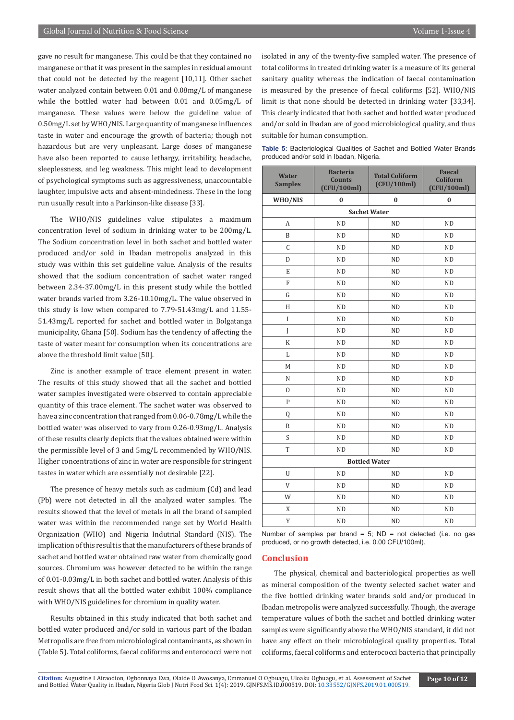gave no result for manganese. This could be that they contained no manganese or that it was present in the samples in residual amount that could not be detected by the reagent [10,11]. Other sachet water analyzed contain between 0.01 and 0.08mg/L of manganese while the bottled water had between 0.01 and 0.05mg/L of manganese. These values were below the guideline value of 0.50mg/L set by WHO/NIS. Large quantity of manganese influences taste in water and encourage the growth of bacteria; though not hazardous but are very unpleasant. Large doses of manganese have also been reported to cause lethargy, irritability, headache, sleeplessness, and leg weakness. This might lead to development of psychological symptoms such as aggressiveness, unaccountable laughter, impulsive acts and absent-mindedness. These in the long run usually result into a Parkinson-like disease [33].

The WHO/NIS guidelines value stipulates a maximum concentration level of sodium in drinking water to be 200mg/L. The Sodium concentration level in both sachet and bottled water produced and/or sold in Ibadan metropolis analyzed in this study was within this set guideline value. Analysis of the results showed that the sodium concentration of sachet water ranged between 2.34-37.00mg/L in this present study while the bottled water brands varied from 3.26-10.10mg/L. The value observed in this study is low when compared to 7.79-51.43mg/L and 11.55- 51.43mg/L reported for sachet and bottled water in Bolgatanga municipality, Ghana [50]. Sodium has the tendency of affecting the taste of water meant for consumption when its concentrations are above the threshold limit value [50].

Zinc is another example of trace element present in water. The results of this study showed that all the sachet and bottled water samples investigated were observed to contain appreciable quantity of this trace element. The sachet water was observed to have a zinc concentration that ranged from 0.06-0.78mg/L while the bottled water was observed to vary from 0.26-0.93mg/L. Analysis of these results clearly depicts that the values obtained were within the permissible level of 3 and 5mg/L recommended by WHO/NIS. Higher concentrations of zinc in water are responsible for stringent tastes in water which are essentially not desirable [22].

The presence of heavy metals such as cadmium (Cd) and lead (Pb) were not detected in all the analyzed water samples. The results showed that the level of metals in all the brand of sampled water was within the recommended range set by World Health Organization (WHO) and Nigeria Indutrial Standard (NIS). The implication of this result is that the manufacturers of these brands of sachet and bottled water obtained raw water from chemically good sources. Chromium was however detected to be within the range of 0.01-0.03mg/L in both sachet and bottled water. Analysis of this result shows that all the bottled water exhibit 100% compliance with WHO/NIS guidelines for chromium in quality water.

Results obtained in this study indicated that both sachet and bottled water produced and/or sold in various part of the Ibadan Metropolis are free from microbiological contaminants, as shown in (Table 5). Total coliforms, faecal coliforms and enterococci were not isolated in any of the twenty-five sampled water. The presence of total coliforms in treated drinking water is a measure of its general sanitary quality whereas the indication of faecal contamination is measured by the presence of faecal coliforms [52]. WHO/NIS limit is that none should be detected in drinking water [33,34]. This clearly indicated that both sachet and bottled water produced and/or sold in Ibadan are of good microbiological quality, and thus suitable for human consumption.

|  |  | <b>Table 5:</b> Bacteriological Qualities of Sachet and Bottled Water Brands |  |  |  |
|--|--|------------------------------------------------------------------------------|--|--|--|
|  |  | produced and/or sold in Ibadan, Nigeria.                                     |  |  |  |

| <b>Water</b><br><b>Samples</b> | <b>Bacteria</b><br><b>Counts</b><br>(CFU/100ml) | <b>Total Coliform</b><br>(CFU/100ml) | <b>Faecal</b><br>Coliform<br>(CFU/100ml) |  |  |  |  |  |  |  |
|--------------------------------|-------------------------------------------------|--------------------------------------|------------------------------------------|--|--|--|--|--|--|--|
| WHO/NIS                        | $\bf{0}$                                        | $\bf{0}$                             | $\bf{0}$                                 |  |  |  |  |  |  |  |
| <b>Sachet Water</b>            |                                                 |                                      |                                          |  |  |  |  |  |  |  |
| A                              | <b>ND</b>                                       | <b>ND</b>                            | <b>ND</b>                                |  |  |  |  |  |  |  |
| B                              | <b>ND</b>                                       | ND                                   | <b>ND</b>                                |  |  |  |  |  |  |  |
| C                              | <b>ND</b>                                       | <b>ND</b>                            | <b>ND</b>                                |  |  |  |  |  |  |  |
| D                              | <b>ND</b>                                       | ND                                   | <b>ND</b>                                |  |  |  |  |  |  |  |
| E                              | <b>ND</b>                                       | <b>ND</b>                            | <b>ND</b>                                |  |  |  |  |  |  |  |
| $\overline{F}$                 | <b>ND</b>                                       | <b>ND</b>                            | <b>ND</b>                                |  |  |  |  |  |  |  |
| G                              | <b>ND</b>                                       | <b>ND</b>                            | <b>ND</b>                                |  |  |  |  |  |  |  |
| $\mathbf H$                    | <b>ND</b>                                       | <b>ND</b>                            | <b>ND</b>                                |  |  |  |  |  |  |  |
| I                              | <b>ND</b>                                       | <b>ND</b>                            | <b>ND</b>                                |  |  |  |  |  |  |  |
| I                              | <b>ND</b>                                       | <b>ND</b>                            | <b>ND</b>                                |  |  |  |  |  |  |  |
| $\rm K$                        | <b>ND</b>                                       | <b>ND</b>                            | <b>ND</b>                                |  |  |  |  |  |  |  |
| L                              | <b>ND</b>                                       | <b>ND</b>                            | <b>ND</b>                                |  |  |  |  |  |  |  |
| M                              | <b>ND</b>                                       | <b>ND</b>                            | <b>ND</b>                                |  |  |  |  |  |  |  |
| N                              | <b>ND</b>                                       | <b>ND</b>                            | <b>ND</b>                                |  |  |  |  |  |  |  |
| $\mathbf{0}$                   | <b>ND</b>                                       | <b>ND</b>                            | <b>ND</b>                                |  |  |  |  |  |  |  |
| $\mathsf{P}$                   | <b>ND</b>                                       | <b>ND</b>                            | <b>ND</b>                                |  |  |  |  |  |  |  |
| Q                              | <b>ND</b>                                       | <b>ND</b>                            | <b>ND</b>                                |  |  |  |  |  |  |  |
| R                              | <b>ND</b>                                       | <b>ND</b>                            | <b>ND</b>                                |  |  |  |  |  |  |  |
| S                              | <b>ND</b>                                       | <b>ND</b>                            | <b>ND</b>                                |  |  |  |  |  |  |  |
| T                              | <b>ND</b>                                       | <b>ND</b>                            | <b>ND</b>                                |  |  |  |  |  |  |  |
| <b>Bottled Water</b>           |                                                 |                                      |                                          |  |  |  |  |  |  |  |
| U                              | <b>ND</b>                                       | <b>ND</b>                            | <b>ND</b>                                |  |  |  |  |  |  |  |
| V                              | <b>ND</b>                                       | <b>ND</b>                            | ND                                       |  |  |  |  |  |  |  |
| W                              | <b>ND</b>                                       | ND                                   | <b>ND</b>                                |  |  |  |  |  |  |  |
| X                              | <b>ND</b>                                       | <b>ND</b>                            | <b>ND</b>                                |  |  |  |  |  |  |  |
| Y                              | <b>ND</b>                                       | <b>ND</b>                            | <b>ND</b>                                |  |  |  |  |  |  |  |

Number of samples per brand =  $5$ ; ND = not detected (i.e. no gas produced, or no growth detected, i.e. 0.00 CFU/100ml).

#### **Conclusion**

The physical, chemical and bacteriological properties as well as mineral composition of the twenty selected sachet water and the five bottled drinking water brands sold and/or produced in Ibadan metropolis were analyzed successfully. Though, the average temperature values of both the sachet and bottled drinking water samples were significantly above the WHO/NIS standard, it did not have any effect on their microbiological quality properties. Total coliforms, faecal coliforms and enterococci bacteria that principally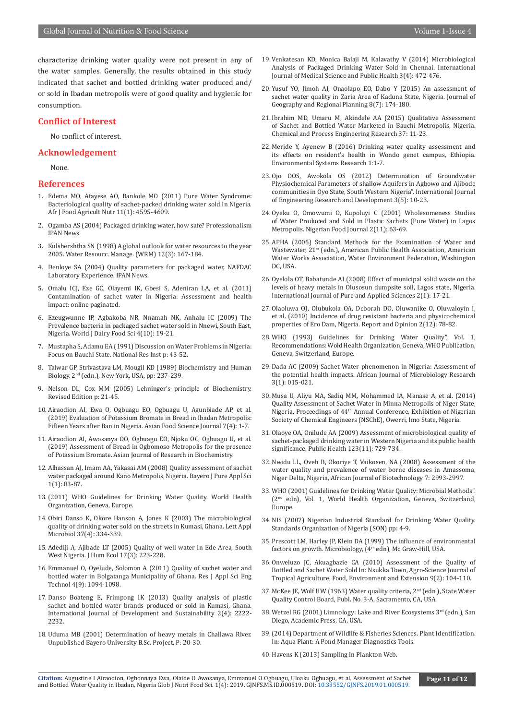characterize drinking water quality were not present in any of the water samples. Generally, the results obtained in this study indicated that sachet and bottled drinking water produced and/ or sold in Ibadan metropolis were of good quality and hygienic for consumption.

#### **Conflict of Interest**

No conflict of interest.

#### **Acknowledgement**

None.

#### **References**

- 1. Edema MO, Atayese AO, Bankole MO (2011) Pure Water Syndrome: Bacteriological quality of sachet-packed drinking water sold In Nigeria. Afr J Food Agricult Nutr 11(1): 4595-4609.
- 2. Ogamba AS (2004) Packaged drinking water, how safe? Professionalism IPAN News.
- 3. Kulshershtha SN (1998) A global outlook for water resources to the year 2005. Water Resourc. Manage. (WRM) 12(3): 167-184.
- 4. Denloye SA (2004) Quality parameters for packaged water, NAFDAC Laboratory Experience. IPAN News.
- 5. Omalu ICJ, Eze GC, Olayemi IK, Gbesi S, Adeniran LA, et al. (2011) Contamination of sachet water in Nigeria: Assessment and health impact: online paginated.
- 6. Ezeugwunne IP, Agbakoba NR, Nnamah NK, Anhalu IC (2009) The Prevalence bacteria in packaged sachet water sold in Nnewi, South East, Nigeria. World J Dairy Food Sci 4(10): 19-21.
- 7. Mustapha S, Adamu EA (1991) Discussion on Water Problems in Nigeria: Focus on Bauchi State. National Res Inst p: 43-52.
- 8. Talwar GP, Strivastava LM, Mougil KD (1989) Biochemistry and Human Biology. 2nd (edn.), New York, USA, pp: 237-239.
- 9. Nelson DL, Cox MM (2005) Lehninger's principle of Biochemistry. Revised Edition p: 21-45.
- 10. Airaodion AI, Ewa O, Ogbuagu EO, Ogbuagu U, Agunbiade AP, et al. (2019) Evaluation of Potassium Bromate in Bread in Ibadan Metropolis: Fifteen Years after Ban in Nigeria. Asian Food Science Journal 7(4): 1-7.
- 11. Airaodion AI, Awosanya OO, Ogbuagu EO, Njoku OC, Ogbuagu U, et al. (2019) Assessment of Bread in Ogbomoso Metropolis for the presence of Potassium Bromate. Asian Journal of Research in Biochemistry.
- 12. Alhassan AJ, Imam AA, Yakasai AM (2008) Quality assessment of sachet water packaged around Kano Metropolis, Nigeria. Bayero J Pure Appl Sci 1(1): 83-87.
- 13.(2011) WHO Guidelines for Drinking Water Quality. World Health Organization, Geneva, Europe.
- 14. [Obiri Danso K, Okore Hanson A, Jones K \(2003\) The microbiological](https://www.ncbi.nlm.nih.gov/pubmed/12969499) [quality of drinking water sold on the streets in Kumasi, Ghana. Lett Appl](https://www.ncbi.nlm.nih.gov/pubmed/12969499) [Microbiol 37\(4\): 334-339](https://www.ncbi.nlm.nih.gov/pubmed/12969499).
- 15. Adediji A, Ajibade LT (2005) Quality of well water In Ede Area, South West Nigeria. J Hum Ecol 17(3): 223-228.
- 16. Emmanuel O, Oyelude, Solomon A (2011) Quality of sachet water and bottled water in Bolgatanga Municipality of Ghana. Res J Appl Sci Eng Technol 4(9): 1094-1098.
- 17. Danso Boateng E, Frimpong IK (2013) Quality analysis of plastic sachet and bottled water brands produced or sold in Kumasi, Ghana. International Journal of Development and Sustainability 2(4): 2222- 2232.
- 18. Uduma MB (2001) Determination of heavy metals in Challawa River. Unpublished Bayero University B.Sc. Project, P: 20-30.
- 19. Venkatesan KD, Monica Balaji M, Kalavathy V (2014) Microbiological Analysis of Packaged Drinking Water Sold in Chennai. International Journal of Medical Science and Public Health 3(4): 472-476.
- 20. Yusuf YO, Jimoh AI, Onaolapo EO, Dabo Y (2015) An assessment of sachet water quality in Zaria Area of Kaduna State, Nigeria. Journal of Geography and Regional Planning 8(7): 174-180.
- 21. Ibrahim MD, Umaru M, Akindele AA (2015) Qualitative Assessment of Sachet and Bottled Water Marketed in Bauchi Metropolis, Nigeria. Chemical and Process Engineering Research 37: 11-23.
- 22. [Meride Y, Ayenew B \(2016\) Drinking water quality assessment and](https://link.springer.com/article/10.1186/s40068-016-0053-6)  [its effects on resident's health in Wondo genet campus, Ethiopia.](https://link.springer.com/article/10.1186/s40068-016-0053-6)  [Environmental Systems Research 1:1-7.](https://link.springer.com/article/10.1186/s40068-016-0053-6)
- 23. Ojo OOS, Awokola OS (2012) Determination of Groundwater Physiochemical Parameters of shallow Aquifers in Agbowo and Ajibode communities in Oyo State, South Western Nigeria". International Journal of Engineering Research and Development 3(5): 10-23.
- 24. Oyeku O, Omowumi O, Kupoluyi C (2001) Wholesomeness Studies of Water Produced and Sold in Plastic Sachets (Pure Water) in Lagos Metropolis. Nigerian Food Journal 2(11): 63-69.
- 25. APHA (2005) Standard Methods for the Examination of Water and Wastewater, 21<sup>st</sup> (edn.), American Public Health Association, American Water Works Association, Water Environment Federation, Washington DC, USA.
- 26. Oyelola OT, Babatunde AI (2008) Effect of municipal solid waste on the levels of heavy metals in Olusosun dumpsite soil, Lagos state, Nigeria. International Journal of Pure and Applied Sciences 2(1): 17-21.
- 27. Olaoluwa OJ, Olubukola OA, Deborah DO, Oluwanike O, Oluwaloyin I, et al. (2010) Incidence of drug resistant bacteria and physicochemical properties of Ero Dam, Nigeria. Report and Opinion 2(12): 78-82.
- 28. [WHO \(1993\) Guidelines for Drinking Water Quality", Vol. 1,](https://www.who.int/water_sanitation_health/publications/gdwq2v1/en/)  [Recommendations: Wold Health Organization, Geneva, WHO Publication,](https://www.who.int/water_sanitation_health/publications/gdwq2v1/en/)  [Geneva, Switzerland, Europe.](https://www.who.int/water_sanitation_health/publications/gdwq2v1/en/)
- 29. Dada AC (2009) Sachet Water phenomenon in Nigeria: Assessment of the potential health impacts. African Journal of Microbiology Research 3(1): 015-021.
- 30. Musa U, Aliyu MA, Sadiq MM, Mohammed IA, Manase A, et al. (2014) Quality Assessment of Sachet Water in Minna Metropolis of Niger State, Nigeria, Proceedings of 44th Annual Conference, Exhibition of Nigerian Society of Chemical Engineers (NSChE), Owerri, Imo State, Nigeria.
- 31. [Olaoye OA, Onilude AA \(2009\) Assessment of microbiological quality of](https://www.ncbi.nlm.nih.gov/pubmed/19880150)  [sachet-packaged drinking water in Western Nigeria and its public health](https://www.ncbi.nlm.nih.gov/pubmed/19880150)  [significance. Public Health 123\(11\): 729-734.](https://www.ncbi.nlm.nih.gov/pubmed/19880150)
- 32. Nwidu LL, Oveh B, Okoriye T, Vaikosen, NA (2008) Assessment of the water quality and prevalence of water borne diseases in Amassoma, Niger Delta, Nigeria, African Journal of Biotechnology 7: 2993-2997.
- 33. WHO (2001) Guidelines for Drinking Water Quality: Microbial Methods". (2nd edn), Vol. 1, World Health Organization, Geneva, Switzerland, Europe.
- 34. NIS (2007) Nigerian Industrial Standard for Drinking Water Quality. Standards Organization of Nigeria (SON) pp: 4-9.
- 35. Prescott LM, Harley JP, Klein DA (1999) The influence of environmental factors on growth. Microbiology, (4<sup>th</sup> edn), Mc Graw-Hill, USA.
- 36. Onweluzo JC, Akuagbazie CA (2010) Assessment of the Quality of Bottled and Sachet Water Sold In: Nsukka Town, Agro-Science Journal of Tropical Agriculture, Food, Environment and Extension 9(2): 104-110.
- 37. McKee JE, Wolf HW (1963) Water quality criteria, 2<sup>nd</sup> (edn.), State Water Quality Control Board, Publ. No. 3-A, Sacramento, CA, USA.
- 38. Wetzel RG (2001) Limnology: Lake and River Ecosystems 3rd (edn.), San Diego, Academic Press, CA, USA.
- 39.(2014) Department of Wildlife & Fisheries Sciences. Plant Identification. In: Aqua Plant: A Pond Manager Diagnostics Tools.
- 40. Havens K (2013) Sampling in Plankton Web.